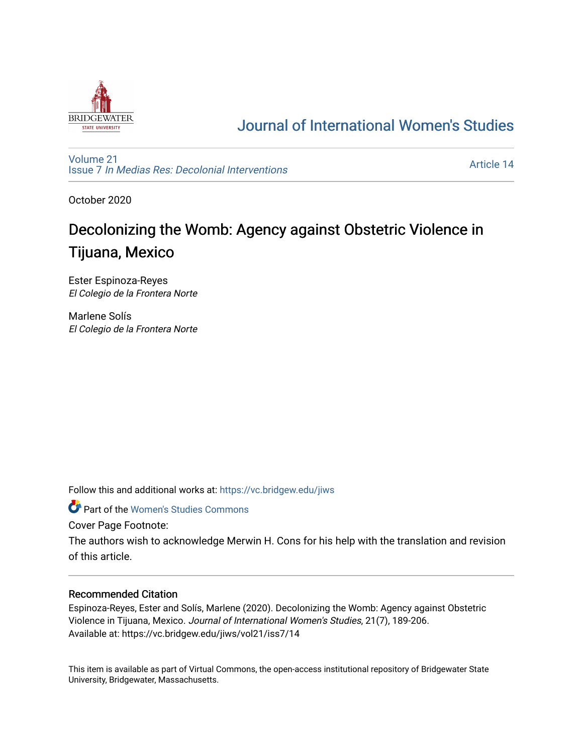

# [Journal of International Women's Studies](https://vc.bridgew.edu/jiws)

[Volume 21](https://vc.bridgew.edu/jiws/vol21) Issue 7 [In Medias Res: Decolonial Interventions](https://vc.bridgew.edu/jiws/vol21/iss7) 

[Article 14](https://vc.bridgew.edu/jiws/vol21/iss7/14) 

October 2020

# Decolonizing the Womb: Agency against Obstetric Violence in Tijuana, Mexico

Ester Espinoza-Reyes El Colegio de la Frontera Norte

Marlene Solís El Colegio de la Frontera Norte

Follow this and additional works at: [https://vc.bridgew.edu/jiws](https://vc.bridgew.edu/jiws?utm_source=vc.bridgew.edu%2Fjiws%2Fvol21%2Fiss7%2F14&utm_medium=PDF&utm_campaign=PDFCoverPages)

**C** Part of the Women's Studies Commons

Cover Page Footnote:

The authors wish to acknowledge Merwin H. Cons for his help with the translation and revision of this article.

### Recommended Citation

Espinoza-Reyes, Ester and Solís, Marlene (2020). Decolonizing the Womb: Agency against Obstetric Violence in Tijuana, Mexico. Journal of International Women's Studies, 21(7), 189-206. Available at: https://vc.bridgew.edu/jiws/vol21/iss7/14

This item is available as part of Virtual Commons, the open-access institutional repository of Bridgewater State University, Bridgewater, Massachusetts.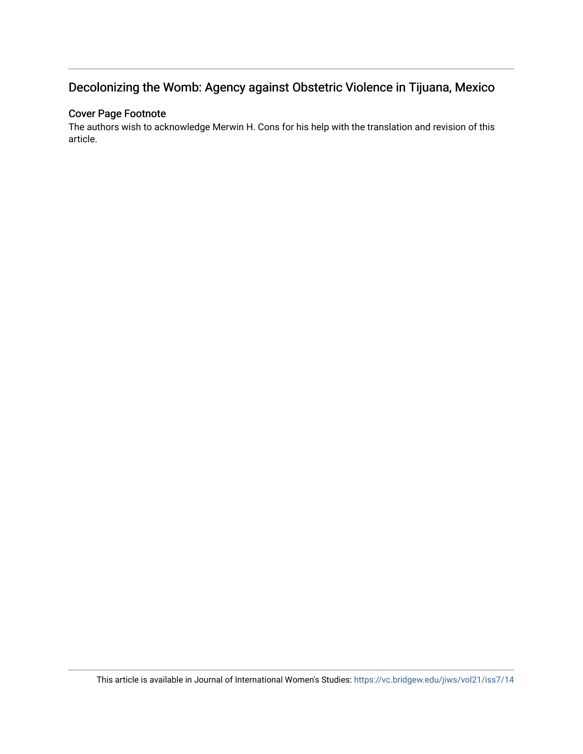# Decolonizing the Womb: Agency against Obstetric Violence in Tijuana, Mexico

# Cover Page Footnote

The authors wish to acknowledge Merwin H. Cons for his help with the translation and revision of this article.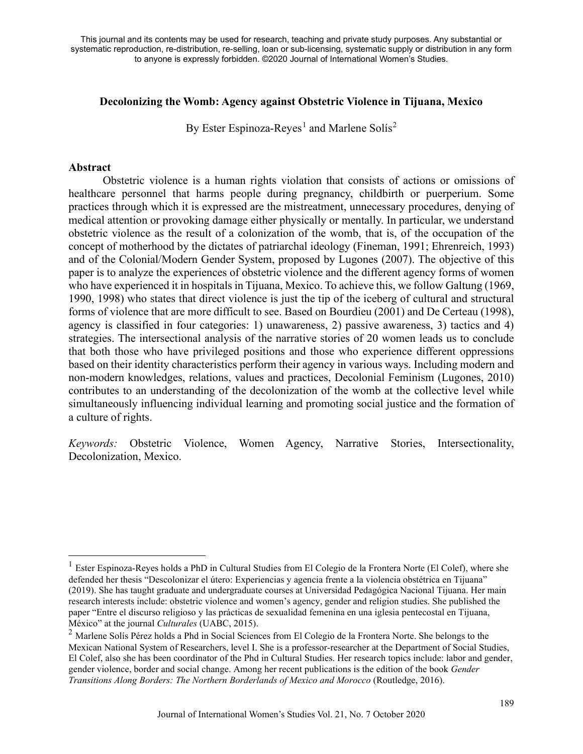## **Decolonizing the Womb: Agency against Obstetric Violence in Tijuana, Mexico**

By Ester Espinoza-Reyes<sup>[1](#page-2-0)</sup> and Marlene Solís<sup>[2](#page-2-1)</sup>

### **Abstract**

Obstetric violence is a human rights violation that consists of actions or omissions of healthcare personnel that harms people during pregnancy, childbirth or puerperium. Some practices through which it is expressed are the mistreatment, unnecessary procedures, denying of medical attention or provoking damage either physically or mentally. In particular, we understand obstetric violence as the result of a colonization of the womb, that is, of the occupation of the concept of motherhood by the dictates of patriarchal ideology (Fineman, 1991; Ehrenreich, 1993) and of the Colonial/Modern Gender System, proposed by Lugones (2007). The objective of this paper is to analyze the experiences of obstetric violence and the different agency forms of women who have experienced it in hospitals in Tijuana, Mexico. To achieve this, we follow Galtung (1969, 1990, 1998) who states that direct violence is just the tip of the iceberg of cultural and structural forms of violence that are more difficult to see. Based on Bourdieu (2001) and De Certeau (1998), agency is classified in four categories: 1) unawareness, 2) passive awareness, 3) tactics and 4) strategies. The intersectional analysis of the narrative stories of 20 women leads us to conclude that both those who have privileged positions and those who experience different oppressions based on their identity characteristics perform their agency in various ways. Including modern and non-modern knowledges, relations, values and practices, Decolonial Feminism (Lugones, 2010) contributes to an understanding of the decolonization of the womb at the collective level while simultaneously influencing individual learning and promoting social justice and the formation of a culture of rights.

*Keywords:* Obstetric Violence, Women Agency, Narrative Stories, Intersectionality, Decolonization, Mexico.

<span id="page-2-0"></span> $1$  Ester Espinoza-Reyes holds a PhD in Cultural Studies from El Colegio de la Frontera Norte (El Colef), where she defended her thesis "Descolonizar el útero: Experiencias y agencia frente a la violencia obstétrica en Tijuana" (2019). She has taught graduate and undergraduate courses at Universidad Pedagógica Nacional Tijuana. Her main research interests include: obstetric violence and women's agency, gender and religion studies. She published the paper "Entre el discurso religioso y las prácticas de sexualidad femenina en una iglesia pentecostal en Tijuana, México" at the journal *Culturales* (UABC, 2015).

<span id="page-2-1"></span><sup>&</sup>lt;sup>2</sup> Marlene Solís Pérez holds a Phd in Social Sciences from El Colegio de la Frontera Norte. She belongs to the Mexican National System of Researchers, level I. She is a professor-researcher at the Department of Social Studies, El Colef, also she has been coordinator of the Phd in Cultural Studies. Her research topics include: labor and gender, gender violence, border and social change. Among her recent publications is the edition of the book *Gender Transitions Along Borders: The Northern Borderlands of Mexico and Morocco* (Routledge, 2016).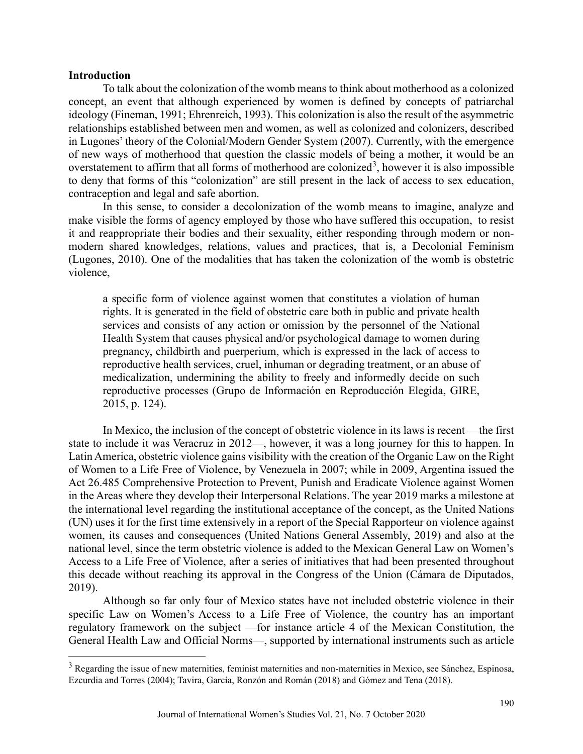#### **Introduction**

To talk about the colonization of the womb means to think about motherhood as a colonized concept, an event that although experienced by women is defined by concepts of patriarchal ideology (Fineman, 1991; Ehrenreich, 1993). This colonization is also the result of the asymmetric relationships established between men and women, as well as colonized and colonizers, described in Lugones' theory of the Colonial/Modern Gender System (2007). Currently, with the emergence of new ways of motherhood that question the classic models of being a mother, it would be an overstatement to affirm that all forms of motherhood are colonized<sup>[3](#page-3-0)</sup>, however it is also impossible to deny that forms of this "colonization" are still present in the lack of access to sex education, contraception and legal and safe abortion.

In this sense, to consider a decolonization of the womb means to imagine, analyze and make visible the forms of agency employed by those who have suffered this occupation, to resist it and reappropriate their bodies and their sexuality, either responding through modern or nonmodern shared knowledges, relations, values and practices, that is, a Decolonial Feminism (Lugones, 2010). One of the modalities that has taken the colonization of the womb is obstetric violence,

a specific form of violence against women that constitutes a violation of human rights. It is generated in the field of obstetric care both in public and private health services and consists of any action or omission by the personnel of the National Health System that causes physical and/or psychological damage to women during pregnancy, childbirth and puerperium, which is expressed in the lack of access to reproductive health services, cruel, inhuman or degrading treatment, or an abuse of medicalization, undermining the ability to freely and informedly decide on such reproductive processes (Grupo de Información en Reproducción Elegida, GIRE, 2015, p. 124).

In Mexico, the inclusion of the concept of obstetric violence in its laws is recent —the first state to include it was Veracruz in 2012—, however, it was a long journey for this to happen. In Latin America, obstetric violence gains visibility with the creation of the Organic Law on the Right of Women to a Life Free of Violence, by Venezuela in 2007; while in 2009, Argentina issued the Act 26.485 Comprehensive Protection to Prevent, Punish and Eradicate Violence against Women in the Areas where they develop their Interpersonal Relations. The year 2019 marks a milestone at the international level regarding the institutional acceptance of the concept, as the United Nations (UN) uses it for the first time extensively in a report of the Special Rapporteur on violence against women, its causes and consequences (United Nations General Assembly, 2019) and also at the national level, since the term obstetric violence is added to the Mexican General Law on Women's Access to a Life Free of Violence, after a series of initiatives that had been presented throughout this decade without reaching its approval in the Congress of the Union (Cámara de Diputados, 2019).

Although so far only four of Mexico states have not included obstetric violence in their specific Law on Women's Access to a Life Free of Violence, the country has an important regulatory framework on the subject —for instance article 4 of the Mexican Constitution, the General Health Law and Official Norms—, supported by international instruments such as article

<span id="page-3-0"></span><sup>&</sup>lt;sup>3</sup> Regarding the issue of new maternities, feminist maternities and non-maternities in Mexico, see Sánchez, Espinosa, Ezcurdia and Torres (2004); Tavira, García, Ronzón and Román (2018) and Gómez and Tena (2018).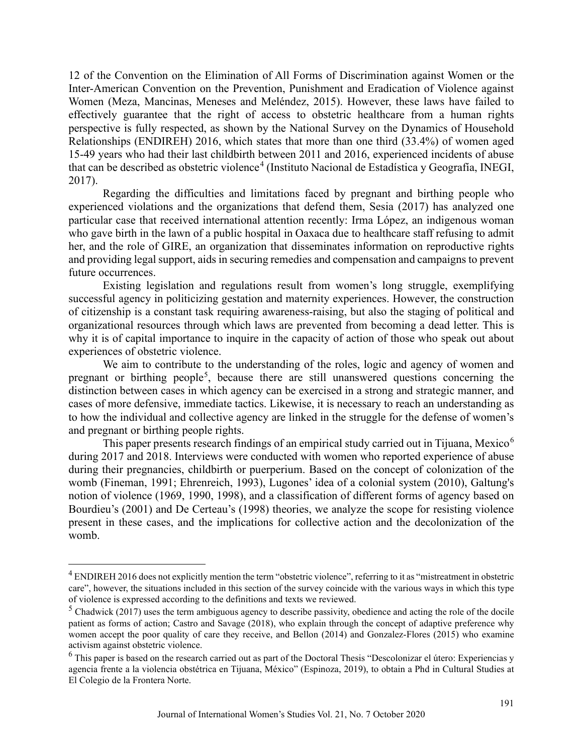12 of the Convention on the Elimination of All Forms of Discrimination against Women or the Inter-American Convention on the Prevention, Punishment and Eradication of Violence against Women (Meza, Mancinas, Meneses and Meléndez, 2015). However, these laws have failed to effectively guarantee that the right of access to obstetric healthcare from a human rights perspective is fully respected, as shown by the National Survey on the Dynamics of Household Relationships (ENDIREH) 2016, which states that more than one third (33.4%) of women aged 15-49 years who had their last childbirth between 2011 and 2016, experienced incidents of abuse that can be described as obstetric violence<sup>[4](#page-4-0)</sup> (Instituto Nacional de Estadística y Geografía, INEGI, 2017).

Regarding the difficulties and limitations faced by pregnant and birthing people who experienced violations and the organizations that defend them, Sesia (2017) has analyzed one particular case that received international attention recently: Irma López, an indigenous woman who gave birth in the lawn of a public hospital in Oaxaca due to healthcare staff refusing to admit her, and the role of GIRE, an organization that disseminates information on reproductive rights and providing legal support, aids in securing remedies and compensation and campaigns to prevent future occurrences.

Existing legislation and regulations result from women's long struggle, exemplifying successful agency in politicizing gestation and maternity experiences. However, the construction of citizenship is a constant task requiring awareness-raising, but also the staging of political and organizational resources through which laws are prevented from becoming a dead letter. This is why it is of capital importance to inquire in the capacity of action of those who speak out about experiences of obstetric violence.

We aim to contribute to the understanding of the roles, logic and agency of women and pregnant or birthing people<sup>[5](#page-4-1)</sup>, because there are still unanswered questions concerning the distinction between cases in which agency can be exercised in a strong and strategic manner, and cases of more defensive, immediate tactics. Likewise, it is necessary to reach an understanding as to how the individual and collective agency are linked in the struggle for the defense of women's and pregnant or birthing people rights.

This paper presents research findings of an empirical study carried out in Tijuana, Mexico<sup>[6](#page-4-2)</sup> during 2017 and 2018. Interviews were conducted with women who reported experience of abuse during their pregnancies, childbirth or puerperium. Based on the concept of colonization of the womb (Fineman, 1991; Ehrenreich, 1993), Lugones' idea of a colonial system (2010), Galtung's notion of violence (1969, 1990, 1998), and a classification of different forms of agency based on Bourdieu's (2001) and De Certeau's (1998) theories, we analyze the scope for resisting violence present in these cases, and the implications for collective action and the decolonization of the womb.

<span id="page-4-0"></span> $<sup>4</sup>$  ENDIREH 2016 does not explicitly mention the term "obstetric violence", referring to it as "mistreatment in obstetric</sup> care", however, the situations included in this section of the survey coincide with the various ways in which this type of violence is expressed according to the definitions and texts we reviewed.

<span id="page-4-1"></span> $<sup>5</sup>$  Chadwick (2017) uses the term ambiguous agency to describe passivity, obedience and acting the role of the docile</sup> patient as forms of action; Castro and Savage (2018), who explain through the concept of adaptive preference why women accept the poor quality of care they receive, and Bellon (2014) and Gonzalez-Flores (2015) who examine activism against obstetric violence.

<span id="page-4-2"></span> $<sup>6</sup>$  This paper is based on the research carried out as part of the Doctoral Thesis "Descolonizar el útero: Experiencias y</sup> agencia frente a la violencia obstétrica en Tijuana, México" (Espinoza, 2019), to obtain a Phd in Cultural Studies at El Colegio de la Frontera Norte.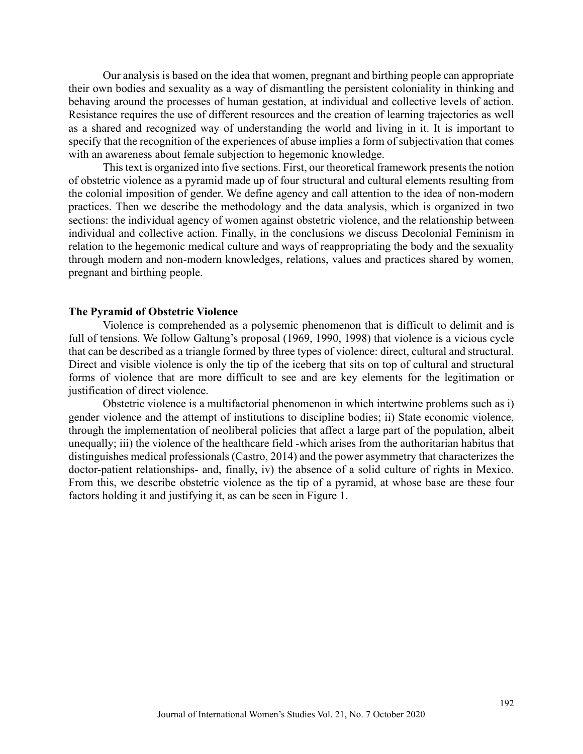Our analysis is based on the idea that women, pregnant and birthing people can appropriate their own bodies and sexuality as a way of dismantling the persistent coloniality in thinking and behaving around the processes of human gestation, at individual and collective levels of action. Resistance requires the use of different resources and the creation of learning trajectories as well as a shared and recognized way of understanding the world and living in it. It is important to specify that the recognition of the experiences of abuse implies a form of subjectivation that comes with an awareness about female subjection to hegemonic knowledge.

This text is organized into five sections. First, our theoretical framework presents the notion of obstetric violence as a pyramid made up of four structural and cultural elements resulting from the colonial imposition of gender. We define agency and call attention to the idea of non-modern practices. Then we describe the methodology and the data analysis, which is organized in two sections: the individual agency of women against obstetric violence, and the relationship between individual and collective action. Finally, in the conclusions we discuss Decolonial Feminism in relation to the hegemonic medical culture and ways of reappropriating the body and the sexuality through modern and non-modern knowledges, relations, values and practices shared by women, pregnant and birthing people.

#### **The Pyramid of Obstetric Violence**

Violence is comprehended as a polysemic phenomenon that is difficult to delimit and is full of tensions. We follow Galtung's proposal (1969, 1990, 1998) that violence is a vicious cycle that can be described as a triangle formed by three types of violence: direct, cultural and structural. Direct and visible violence is only the tip of the iceberg that sits on top of cultural and structural forms of violence that are more difficult to see and are key elements for the legitimation or justification of direct violence.

Obstetric violence is a multifactorial phenomenon in which intertwine problems such as i) gender violence and the attempt of institutions to discipline bodies; ii) State economic violence, through the implementation of neoliberal policies that affect a large part of the population, albeit unequally; iii) the violence of the healthcare field -which arises from the authoritarian habitus that distinguishes medical professionals (Castro, 2014) and the power asymmetry that characterizes the doctor-patient relationships- and, finally, iv) the absence of a solid culture of rights in Mexico. From this, we describe obstetric violence as the tip of a pyramid, at whose base are these four factors holding it and justifying it, as can be seen in Figure 1.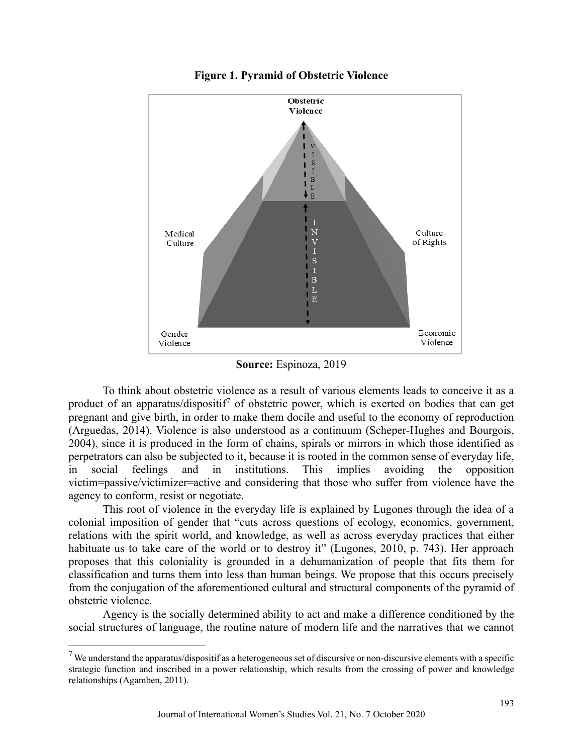



**Source:** Espinoza, 2019

To think about obstetric violence as a result of various elements leads to conceive it as a product of an apparatus/dispositif<sup>[7](#page-6-0)</sup> of obstetric power, which is exerted on bodies that can get pregnant and give birth, in order to make them docile and useful to the economy of reproduction (Arguedas, 2014). Violence is also understood as a continuum (Scheper-Hughes and Bourgois, 2004), since it is produced in the form of chains, spirals or mirrors in which those identified as perpetrators can also be subjected to it, because it is rooted in the common sense of everyday life, in social feelings and in institutions. This implies avoiding the opposition victim=passive/victimizer=active and considering that those who suffer from violence have the agency to conform, resist or negotiate.

This root of violence in the everyday life is explained by Lugones through the idea of a colonial imposition of gender that "cuts across questions of ecology, economics, government, relations with the spirit world, and knowledge, as well as across everyday practices that either habituate us to take care of the world or to destroy it" (Lugones, 2010, p. 743). Her approach proposes that this coloniality is grounded in a dehumanization of people that fits them for classification and turns them into less than human beings. We propose that this occurs precisely from the conjugation of the aforementioned cultural and structural components of the pyramid of obstetric violence.

Agency is the socially determined ability to act and make a difference conditioned by the social structures of language, the routine nature of modern life and the narratives that we cannot

<span id="page-6-0"></span> $<sup>7</sup>$  We understand the apparatus/dispositif as a heterogeneous set of discursive or non-discursive elements with a specific</sup> strategic function and inscribed in a power relationship, which results from the crossing of power and knowledge relationships (Agamben, 2011).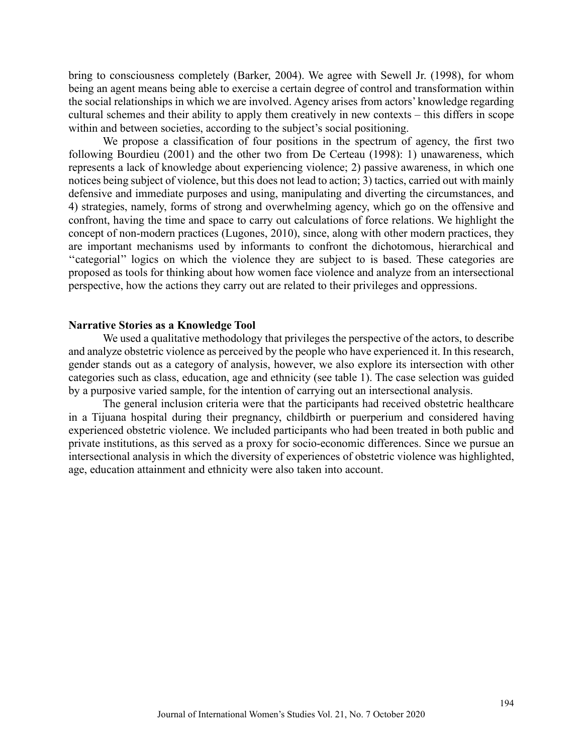bring to consciousness completely (Barker, 2004). We agree with Sewell Jr. (1998), for whom being an agent means being able to exercise a certain degree of control and transformation within the social relationships in which we are involved. Agency arises from actors' knowledge regarding cultural schemes and their ability to apply them creatively in new contexts – this differs in scope within and between societies, according to the subject's social positioning.

We propose a classification of four positions in the spectrum of agency, the first two following Bourdieu (2001) and the other two from De Certeau (1998): 1) unawareness, which represents a lack of knowledge about experiencing violence; 2) passive awareness, in which one notices being subject of violence, but this does not lead to action; 3) tactics, carried out with mainly defensive and immediate purposes and using, manipulating and diverting the circumstances, and 4) strategies, namely, forms of strong and overwhelming agency, which go on the offensive and confront, having the time and space to carry out calculations of force relations. We highlight the concept of non-modern practices (Lugones, 2010), since, along with other modern practices, they are important mechanisms used by informants to confront the dichotomous, hierarchical and "categorial" logics on which the violence they are subject to is based. These categories are proposed as tools for thinking about how women face violence and analyze from an intersectional perspective, how the actions they carry out are related to their privileges and oppressions.

#### **Narrative Stories as a Knowledge Tool**

We used a qualitative methodology that privileges the perspective of the actors, to describe and analyze obstetric violence as perceived by the people who have experienced it. In this research, gender stands out as a category of analysis, however, we also explore its intersection with other categories such as class, education, age and ethnicity (see table 1). The case selection was guided by a purposive varied sample, for the intention of carrying out an intersectional analysis.

The general inclusion criteria were that the participants had received obstetric healthcare in a Tijuana hospital during their pregnancy, childbirth or puerperium and considered having experienced obstetric violence. We included participants who had been treated in both public and private institutions, as this served as a proxy for socio-economic differences. Since we pursue an intersectional analysis in which the diversity of experiences of obstetric violence was highlighted, age, education attainment and ethnicity were also taken into account.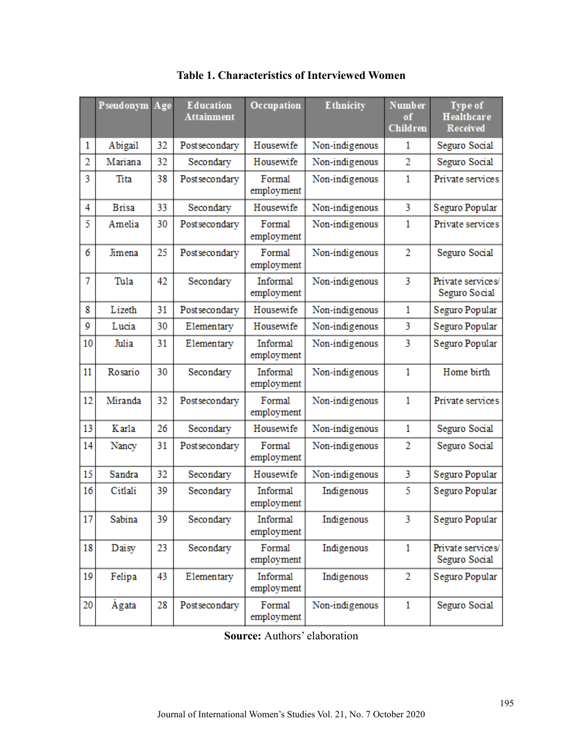|                | Pseudonym Age |    | <b>Education</b><br><b>Attainment</b> | Occupation             | <b>Ethnicity</b> | <b>Number</b><br>of<br><b>Children</b> | <b>Type of</b><br><b>Healthcare</b><br><b>Received</b> |
|----------------|---------------|----|---------------------------------------|------------------------|------------------|----------------------------------------|--------------------------------------------------------|
| 1              | Abigail       | 32 | Postsecondary                         | Housewife              | Non-indigenous   | 1                                      | Seguro Social                                          |
| $\overline{2}$ | Mariana       | 32 | Secondary                             | Housewife              | Non-indigenous   | $\overline{2}$                         | Seguro Social                                          |
| 3              | Tita          | 38 | Postsecondary                         | Formal<br>employment   | Non-indigenous   | $\mathbf{1}$                           | Private services                                       |
| 4              | <b>Brisa</b>  | 33 | Secondary                             | Housewife              | Non-indigenous   | 3                                      | Seguro Popular                                         |
| 5              | Amelia        | 30 | Postsecondary                         | Formal<br>employment   | Non-indigenous   | 1                                      | Private services                                       |
| 6              | Jimena        | 25 | Postsecondary                         | Formal<br>employment   | Non-indigenous   | $\overline{2}$                         | Seguro Social                                          |
| 7              | Tula          | 42 | Secondary                             | Informal<br>employment | Non-indigenous   | 3                                      | Private services/<br>Seguro Social                     |
| 8              | Lizeth        | 31 | Postsecondary                         | Housewife              | Non-indigenous   | $\mathbf{1}$                           | Seguro Popular                                         |
| 9              | Lucia         | 30 | Elementary                            | Housewife              | Non-indigenous   | 3                                      | Seguro Popular                                         |
| 10             | Julia         | 31 | Elementary                            | Informal<br>employment | Non-indigenous   | 3                                      | Seguro Popular                                         |
| 11             | Rosario       | 30 | Secondary                             | Informal<br>employment | Non-indigenous   | $\mathbf{1}$                           | Home birth                                             |
| 12             | Miranda       | 32 | Postsecondary                         | Formal<br>employment   | Non-indigenous   | $\mathbf{1}$                           | Private services                                       |
| 13             | <b>K</b> arla | 26 | Secondary                             | Housewife              | Non-indigenous   | 1                                      | Seguro Social                                          |
| 14             | Nancy         | 31 | Postsecondary                         | Formal<br>employment   | Non-indigenous   | 2                                      | Seguro Social                                          |
| 15             | Sandra        | 32 | Secondary                             | Housewife              | Non-indigenous   | 3                                      | Seguro Popular                                         |
| 16             | Citlali       | 39 | Secondary                             | Informal<br>employment | Indigenous       | 5                                      | Seguro Popular                                         |
| 17             | Sabina        | 39 | Secondary                             | Informal<br>employment | Indigenous       | 3                                      | Seguro Popular                                         |
| 18             | Daisy         | 23 | Secondary                             | Formal<br>employment   | Indigenous       | $\mathbf{1}$                           | Private services/<br>Seguro Social                     |
| 19             | Felipa        | 43 | Elementary                            | Informal<br>employment | Indigenous       | 2                                      | Seguro Popular                                         |
| 20             | Àgata         | 28 | Postsecondary                         | Formal<br>employment   | Non-indigenous   | 1                                      | Seguro Social                                          |

**Table 1. Characteristics of Interviewed Women**

**Source:** Authors' elaboration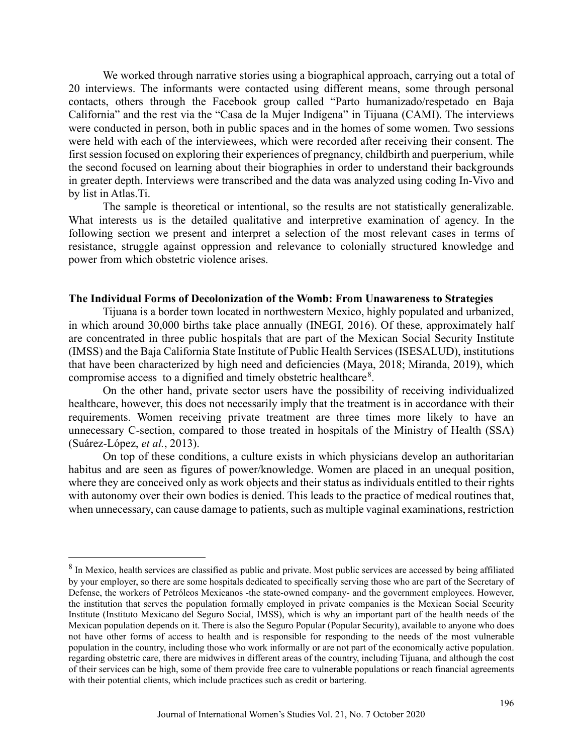We worked through narrative stories using a biographical approach, carrying out a total of 20 interviews. The informants were contacted using different means, some through personal contacts, others through the Facebook group called "Parto humanizado/respetado en Baja California" and the rest via the "Casa de la Mujer Indígena" in Tijuana (CAMI). The interviews were conducted in person, both in public spaces and in the homes of some women. Two sessions were held with each of the interviewees, which were recorded after receiving their consent. The first session focused on exploring their experiences of pregnancy, childbirth and puerperium, while the second focused on learning about their biographies in order to understand their backgrounds in greater depth. Interviews were transcribed and the data was analyzed using coding In-Vivo and by list in Atlas.Ti.

The sample is theoretical or intentional, so the results are not statistically generalizable. What interests us is the detailed qualitative and interpretive examination of agency. In the following section we present and interpret a selection of the most relevant cases in terms of resistance, struggle against oppression and relevance to colonially structured knowledge and power from which obstetric violence arises.

#### **The Individual Forms of Decolonization of the Womb: From Unawareness to Strategies**

Tijuana is a border town located in northwestern Mexico, highly populated and urbanized, in which around 30,000 births take place annually (INEGI, 2016). Of these, approximately half are concentrated in three public hospitals that are part of the Mexican Social Security Institute (IMSS) and the Baja California State Institute of Public Health Services (ISESALUD), institutions that have been characterized by high need and deficiencies (Maya, 2018; Miranda, 2019), which compromise access to a dignified and timely obstetric healthcare $8$ .

On the other hand, private sector users have the possibility of receiving individualized healthcare, however, this does not necessarily imply that the treatment is in accordance with their requirements. Women receiving private treatment are three times more likely to have an unnecessary C-section, compared to those treated in hospitals of the Ministry of Health (SSA) (Suárez-López, *et al.*, 2013).

On top of these conditions, a culture exists in which physicians develop an authoritarian habitus and are seen as figures of power/knowledge. Women are placed in an unequal position, where they are conceived only as work objects and their status as individuals entitled to their rights with autonomy over their own bodies is denied. This leads to the practice of medical routines that, when unnecessary, can cause damage to patients, such as multiple vaginal examinations, restriction

<span id="page-9-0"></span><sup>&</sup>lt;sup>8</sup> In Mexico, health services are classified as public and private. Most public services are accessed by being affiliated by your employer, so there are some hospitals dedicated to specifically serving those who are part of the Secretary of Defense, the workers of Petróleos Mexicanos -the state-owned company- and the government employees. However, the institution that serves the population formally employed in private companies is the Mexican Social Security Institute (Instituto Mexicano del Seguro Social, IMSS), which is why an important part of the health needs of the Mexican population depends on it. There is also the Seguro Popular (Popular Security), available to anyone who does not have other forms of access to health and is responsible for responding to the needs of the most vulnerable population in the country, including those who work informally or are not part of the economically active population. regarding obstetric care, there are midwives in different areas of the country, including Tijuana, and although the cost of their services can be high, some of them provide free care to vulnerable populations or reach financial agreements with their potential clients, which include practices such as credit or bartering.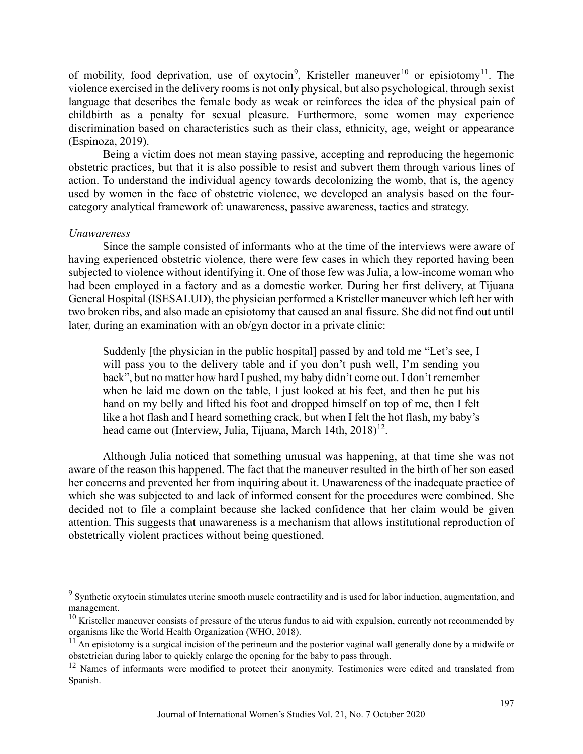of mobility, food deprivation, use of oxytocin<sup>[9](#page-10-0)</sup>, Kristeller maneuver<sup>[10](#page-10-1)</sup> or episiotomy<sup>[11](#page-10-2)</sup>. The violence exercised in the delivery rooms is not only physical, but also psychological, through sexist language that describes the female body as weak or reinforces the idea of the physical pain of childbirth as a penalty for sexual pleasure. Furthermore, some women may experience discrimination based on characteristics such as their class, ethnicity, age, weight or appearance (Espinoza, 2019).

Being a victim does not mean staying passive, accepting and reproducing the hegemonic obstetric practices, but that it is also possible to resist and subvert them through various lines of action. To understand the individual agency towards decolonizing the womb, that is, the agency used by women in the face of obstetric violence, we developed an analysis based on the fourcategory analytical framework of: unawareness, passive awareness, tactics and strategy.

#### *Unawareness*

Since the sample consisted of informants who at the time of the interviews were aware of having experienced obstetric violence, there were few cases in which they reported having been subjected to violence without identifying it. One of those few was Julia, a low-income woman who had been employed in a factory and as a domestic worker. During her first delivery, at Tijuana General Hospital (ISESALUD), the physician performed a Kristeller maneuver which left her with two broken ribs, and also made an episiotomy that caused an anal fissure. She did not find out until later, during an examination with an ob/gyn doctor in a private clinic:

Suddenly [the physician in the public hospital] passed by and told me "Let's see, I will pass you to the delivery table and if you don't push well, I'm sending you back", but no matter how hard I pushed, my baby didn't come out. I don't remember when he laid me down on the table, I just looked at his feet, and then he put his hand on my belly and lifted his foot and dropped himself on top of me, then I felt like a hot flash and I heard something crack, but when I felt the hot flash, my baby's head came out (Interview, Julia, Tijuana, March 14th, 2018)<sup>12</sup>.

Although Julia noticed that something unusual was happening, at that time she was not aware of the reason this happened. The fact that the maneuver resulted in the birth of her son eased her concerns and prevented her from inquiring about it. Unawareness of the inadequate practice of which she was subjected to and lack of informed consent for the procedures were combined. She decided not to file a complaint because she lacked confidence that her claim would be given attention. This suggests that unawareness is a mechanism that allows institutional reproduction of obstetrically violent practices without being questioned.

<span id="page-10-0"></span><sup>&</sup>lt;sup>9</sup> Synthetic oxytocin stimulates uterine smooth muscle contractility and is used for labor induction, augmentation, and management.

<span id="page-10-1"></span> $10$  Kristeller maneuver consists of pressure of the uterus fundus to aid with expulsion, currently not recommended by organisms like the World Health Organization (WHO, 2018).

<span id="page-10-2"></span> $11$  An episiotomy is a surgical incision of the perineum and the posterior vaginal wall generally done by a midwife or obstetrician during labor to quickly enlarge the opening for the baby to pass through.

<span id="page-10-3"></span><sup>&</sup>lt;sup>12</sup> Names of informants were modified to protect their anonymity. Testimonies were edited and translated from Spanish.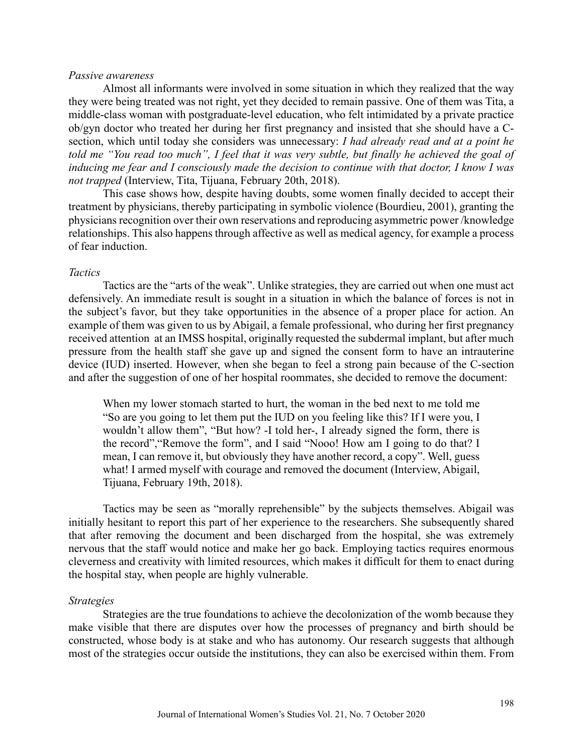#### *Passive awareness*

Almost all informants were involved in some situation in which they realized that the way they were being treated was not right, yet they decided to remain passive. One of them was Tita, a middle-class woman with postgraduate-level education, who felt intimidated by a private practice ob/gyn doctor who treated her during her first pregnancy and insisted that she should have a Csection, which until today she considers was unnecessary: *I had already read and at a point he told me "You read too much", I feel that it was very subtle, but finally he achieved the goal of inducing me fear and I consciously made the decision to continue with that doctor, I know I was not trapped* (Interview, Tita, Tijuana, February 20th, 2018).

This case shows how, despite having doubts, some women finally decided to accept their treatment by physicians, thereby participating in symbolic violence (Bourdieu, 2001), granting the physicians recognition over their own reservations and reproducing asymmetric power /knowledge relationships. This also happens through affective as well as medical agency, for example a process of fear induction.

#### *Tactics*

Tactics are the "arts of the weak". Unlike strategies, they are carried out when one must act defensively. An immediate result is sought in a situation in which the balance of forces is not in the subject's favor, but they take opportunities in the absence of a proper place for action. An example of them was given to us by Abigail, a female professional, who during her first pregnancy received attention at an IMSS hospital, originally requested the subdermal implant, but after much pressure from the health staff she gave up and signed the consent form to have an intrauterine device (IUD) inserted. However, when she began to feel a strong pain because of the C-section and after the suggestion of one of her hospital roommates, she decided to remove the document:

When my lower stomach started to hurt, the woman in the bed next to me told me "So are you going to let them put the IUD on you feeling like this? If I were you, I wouldn't allow them", "But how? -I told her-, I already signed the form, there is the record","Remove the form", and I said "Nooo! How am I going to do that? I mean, I can remove it, but obviously they have another record, a copy". Well, guess what! I armed myself with courage and removed the document (Interview, Abigail, Tijuana, February 19th, 2018).

Tactics may be seen as "morally reprehensible" by the subjects themselves. Abigail was initially hesitant to report this part of her experience to the researchers. She subsequently shared that after removing the document and been discharged from the hospital, she was extremely nervous that the staff would notice and make her go back. Employing tactics requires enormous cleverness and creativity with limited resources, which makes it difficult for them to enact during the hospital stay, when people are highly vulnerable.

#### *Strategies*

Strategies are the true foundations to achieve the decolonization of the womb because they make visible that there are disputes over how the processes of pregnancy and birth should be constructed, whose body is at stake and who has autonomy. Our research suggests that although most of the strategies occur outside the institutions, they can also be exercised within them. From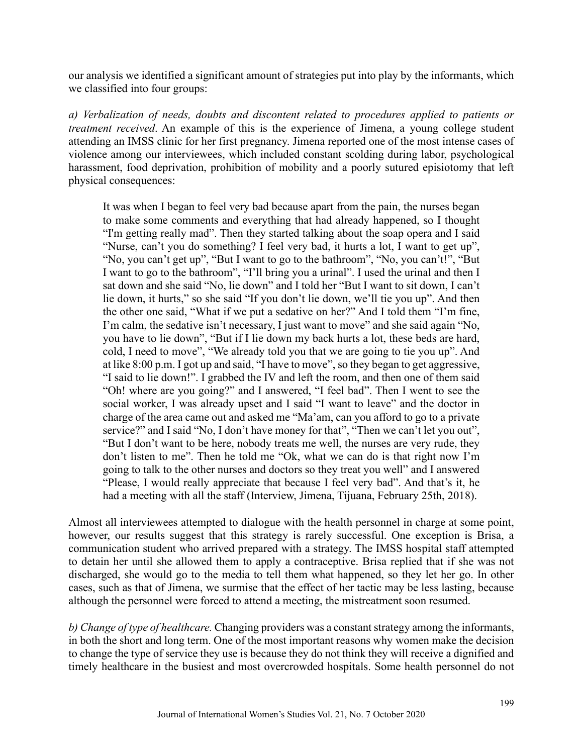our analysis we identified a significant amount of strategies put into play by the informants, which we classified into four groups:

*a) Verbalization of needs, doubts and discontent related to procedures applied to patients or treatment received*. An example of this is the experience of Jimena, a young college student attending an IMSS clinic for her first pregnancy. Jimena reported one of the most intense cases of violence among our interviewees, which included constant scolding during labor, psychological harassment, food deprivation, prohibition of mobility and a poorly sutured episiotomy that left physical consequences:

It was when I began to feel very bad because apart from the pain, the nurses began to make some comments and everything that had already happened, so I thought "I'm getting really mad". Then they started talking about the soap opera and I said "Nurse, can't you do something? I feel very bad, it hurts a lot, I want to get up", "No, you can't get up", "But I want to go to the bathroom", "No, you can't!", "But I want to go to the bathroom", "I'll bring you a urinal". I used the urinal and then I sat down and she said "No, lie down" and I told her "But I want to sit down, I can't lie down, it hurts," so she said "If you don't lie down, we'll tie you up". And then the other one said, "What if we put a sedative on her?" And I told them "I'm fine, I'm calm, the sedative isn't necessary, I just want to move" and she said again "No, you have to lie down", "But if I lie down my back hurts a lot, these beds are hard, cold, I need to move", "We already told you that we are going to tie you up". And at like 8:00 p.m. I got up and said, "I have to move", so they began to get aggressive, "I said to lie down!". I grabbed the IV and left the room, and then one of them said "Oh! where are you going?" and I answered, "I feel bad". Then I went to see the social worker, I was already upset and I said "I want to leave" and the doctor in charge of the area came out and asked me "Ma'am, can you afford to go to a private service?" and I said "No, I don't have money for that", "Then we can't let you out", "But I don't want to be here, nobody treats me well, the nurses are very rude, they don't listen to me". Then he told me "Ok, what we can do is that right now I'm going to talk to the other nurses and doctors so they treat you well" and I answered "Please, I would really appreciate that because I feel very bad". And that's it, he had a meeting with all the staff (Interview, Jimena, Tijuana, February 25th, 2018).

Almost all interviewees attempted to dialogue with the health personnel in charge at some point, however, our results suggest that this strategy is rarely successful. One exception is Brisa, a communication student who arrived prepared with a strategy. The IMSS hospital staff attempted to detain her until she allowed them to apply a contraceptive. Brisa replied that if she was not discharged, she would go to the media to tell them what happened, so they let her go. In other cases, such as that of Jimena, we surmise that the effect of her tactic may be less lasting, because although the personnel were forced to attend a meeting, the mistreatment soon resumed.

*b) Change of type of healthcare.* Changing providers was a constant strategy among the informants, in both the short and long term. One of the most important reasons why women make the decision to change the type of service they use is because they do not think they will receive a dignified and timely healthcare in the busiest and most overcrowded hospitals. Some health personnel do not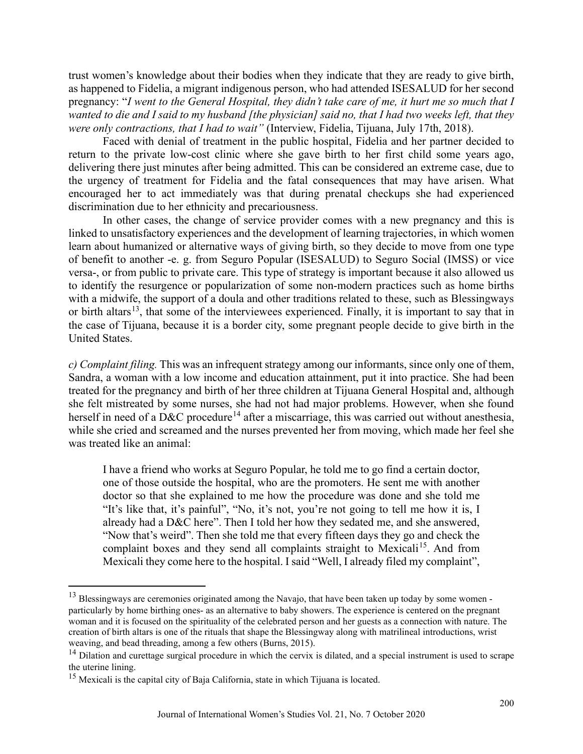trust women's knowledge about their bodies when they indicate that they are ready to give birth, as happened to Fidelia, a migrant indigenous person, who had attended ISESALUD for her second pregnancy: "*I went to the General Hospital, they didn't take care of me, it hurt me so much that I wanted to die and I said to my husband [the physician] said no, that I had two weeks left, that they were only contractions, that I had to wait"* (Interview, Fidelia, Tijuana, July 17th, 2018).

Faced with denial of treatment in the public hospital, Fidelia and her partner decided to return to the private low-cost clinic where she gave birth to her first child some years ago, delivering there just minutes after being admitted. This can be considered an extreme case, due to the urgency of treatment for Fidelia and the fatal consequences that may have arisen. What encouraged her to act immediately was that during prenatal checkups she had experienced discrimination due to her ethnicity and precariousness.

In other cases, the change of service provider comes with a new pregnancy and this is linked to unsatisfactory experiences and the development of learning trajectories, in which women learn about humanized or alternative ways of giving birth, so they decide to move from one type of benefit to another -e. g. from Seguro Popular (ISESALUD) to Seguro Social (IMSS) or vice versa-, or from public to private care. This type of strategy is important because it also allowed us to identify the resurgence or popularization of some non-modern practices such as home births with a midwife, the support of a doula and other traditions related to these, such as Blessingways or birth altars<sup>13</sup>, that some of the interviewees experienced. Finally, it is important to say that in the case of Tijuana, because it is a border city, some pregnant people decide to give birth in the United States.

*c) Complaint filing.* This was an infrequent strategy among our informants, since only one of them, Sandra, a woman with a low income and education attainment, put it into practice. She had been treated for the pregnancy and birth of her three children at Tijuana General Hospital and, although she felt mistreated by some nurses, she had not had major problems. However, when she found herself in need of a D&C procedure<sup>[14](#page-13-1)</sup> after a miscarriage, this was carried out without anesthesia, while she cried and screamed and the nurses prevented her from moving, which made her feel she was treated like an animal:

I have a friend who works at Seguro Popular, he told me to go find a certain doctor, one of those outside the hospital, who are the promoters. He sent me with another doctor so that she explained to me how the procedure was done and she told me "It's like that, it's painful", "No, it's not, you're not going to tell me how it is, I already had a D&C here". Then I told her how they sedated me, and she answered, "Now that's weird". Then she told me that every fifteen days they go and check the complaint boxes and they send all complaints straight to Mexicali<sup>15</sup>. And from Mexicali they come here to the hospital. I said "Well, I already filed my complaint",

<span id="page-13-0"></span><sup>&</sup>lt;sup>13</sup> Blessingways are ceremonies originated among the Navajo, that have been taken up today by some women particularly by home birthing ones- as an alternative to baby showers. The experience is centered on the pregnant woman and it is focused on the spirituality of the celebrated person and her guests as a connection with nature. The creation of birth altars is one of the rituals that shape the Blessingway along with matrilineal introductions, wrist weaving, and bead threading, among a few others (Burns, 2015).

<span id="page-13-1"></span> $14$  Dilation and curettage surgical procedure in which the cervix is dilated, and a special instrument is used to scrape the uterine lining.

<span id="page-13-2"></span><sup>&</sup>lt;sup>15</sup> Mexicali is the capital city of Baja California, state in which Tijuana is located.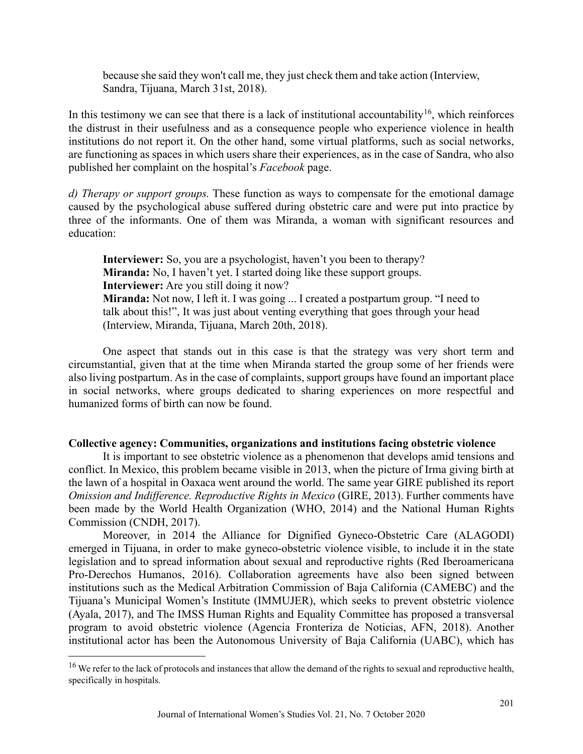because she said they won't call me, they just check them and take action (Interview, Sandra, Tijuana, March 31st, 2018).

In this testimony we can see that there is a lack of institutional accountability<sup>[16](#page-14-0)</sup>, which reinforces the distrust in their usefulness and as a consequence people who experience violence in health institutions do not report it. On the other hand, some virtual platforms, such as social networks, are functioning as spaces in which users share their experiences, as in the case of Sandra, who also published her complaint on the hospital's *Facebook* page.

*d) Therapy or support groups.* These function as ways to compensate for the emotional damage caused by the psychological abuse suffered during obstetric care and were put into practice by three of the informants. One of them was Miranda, a woman with significant resources and education:

**Interviewer:** So, you are a psychologist, haven't you been to therapy? **Miranda:** No, I haven't yet. I started doing like these support groups. **Interviewer:** Are you still doing it now? **Miranda:** Not now, I left it. I was going ... I created a postpartum group. "I need to talk about this!", It was just about venting everything that goes through your head (Interview, Miranda, Tijuana, March 20th, 2018).

One aspect that stands out in this case is that the strategy was very short term and circumstantial, given that at the time when Miranda started the group some of her friends were also living postpartum. As in the case of complaints, support groups have found an important place in social networks, where groups dedicated to sharing experiences on more respectful and humanized forms of birth can now be found.

#### **Collective agency: Communities, organizations and institutions facing obstetric violence**

It is important to see obstetric violence as a phenomenon that develops amid tensions and conflict. In Mexico, this problem became visible in 2013, when the picture of Irma giving birth at the lawn of a hospital in Oaxaca went around the world. The same year GIRE published its report *Omission and Indifference. Reproductive Rights in Mexico* (GIRE, 2013). Further comments have been made by the World Health Organization (WHO, 2014) and the National Human Rights Commission (CNDH, 2017).

Moreover, in 2014 the Alliance for Dignified Gyneco-Obstetric Care (ALAGODI) emerged in Tijuana, in order to make gyneco-obstetric violence visible, to include it in the state legislation and to spread information about sexual and reproductive rights (Red Iberoamericana Pro-Derechos Humanos, 2016). Collaboration agreements have also been signed between institutions such as the Medical Arbitration Commission of Baja California (CAMEBC) and the Tijuana's Municipal Women's Institute (IMMUJER), which seeks to prevent obstetric violence (Ayala, 2017), and The IMSS Human Rights and Equality Committee has proposed a transversal program to avoid obstetric violence (Agencia Fronteriza de Noticias, AFN, 2018). Another institutional actor has been the Autonomous University of Baja California (UABC), which has

<span id="page-14-0"></span><sup>&</sup>lt;sup>16</sup> We refer to the lack of protocols and instances that allow the demand of the rights to sexual and reproductive health, specifically in hospitals.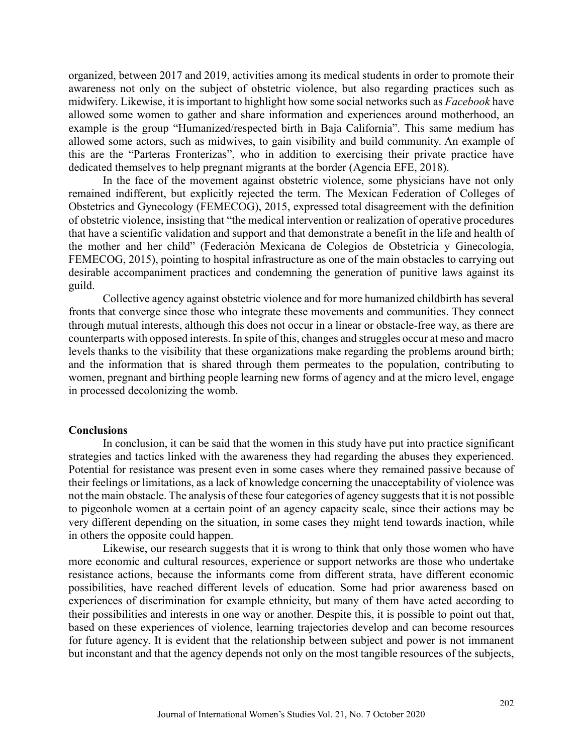organized, between 2017 and 2019, activities among its medical students in order to promote their awareness not only on the subject of obstetric violence, but also regarding practices such as midwifery. Likewise, it is important to highlight how some social networks such as *Facebook* have allowed some women to gather and share information and experiences around motherhood, an example is the group "Humanized/respected birth in Baja California". This same medium has allowed some actors, such as midwives, to gain visibility and build community. An example of this are the "Parteras Fronterizas", who in addition to exercising their private practice have dedicated themselves to help pregnant migrants at the border (Agencia EFE, 2018).

In the face of the movement against obstetric violence, some physicians have not only remained indifferent, but explicitly rejected the term. The Mexican Federation of Colleges of Obstetrics and Gynecology (FEMECOG), 2015, expressed total disagreement with the definition of obstetric violence, insisting that "the medical intervention or realization of operative procedures that have a scientific validation and support and that demonstrate a benefit in the life and health of the mother and her child" (Federación Mexicana de Colegios de Obstetricia y Ginecología, FEMECOG, 2015), pointing to hospital infrastructure as one of the main obstacles to carrying out desirable accompaniment practices and condemning the generation of punitive laws against its guild.

Collective agency against obstetric violence and for more humanized childbirth has several fronts that converge since those who integrate these movements and communities. They connect through mutual interests, although this does not occur in a linear or obstacle-free way, as there are counterparts with opposed interests. In spite of this, changes and struggles occur at meso and macro levels thanks to the visibility that these organizations make regarding the problems around birth; and the information that is shared through them permeates to the population, contributing to women, pregnant and birthing people learning new forms of agency and at the micro level, engage in processed decolonizing the womb.

#### **Conclusions**

In conclusion, it can be said that the women in this study have put into practice significant strategies and tactics linked with the awareness they had regarding the abuses they experienced. Potential for resistance was present even in some cases where they remained passive because of their feelings or limitations, as a lack of knowledge concerning the unacceptability of violence was not the main obstacle. The analysis of these four categories of agency suggests that it is not possible to pigeonhole women at a certain point of an agency capacity scale, since their actions may be very different depending on the situation, in some cases they might tend towards inaction, while in others the opposite could happen.

Likewise, our research suggests that it is wrong to think that only those women who have more economic and cultural resources, experience or support networks are those who undertake resistance actions, because the informants come from different strata, have different economic possibilities, have reached different levels of education. Some had prior awareness based on experiences of discrimination for example ethnicity, but many of them have acted according to their possibilities and interests in one way or another. Despite this, it is possible to point out that, based on these experiences of violence, learning trajectories develop and can become resources for future agency. It is evident that the relationship between subject and power is not immanent but inconstant and that the agency depends not only on the most tangible resources of the subjects,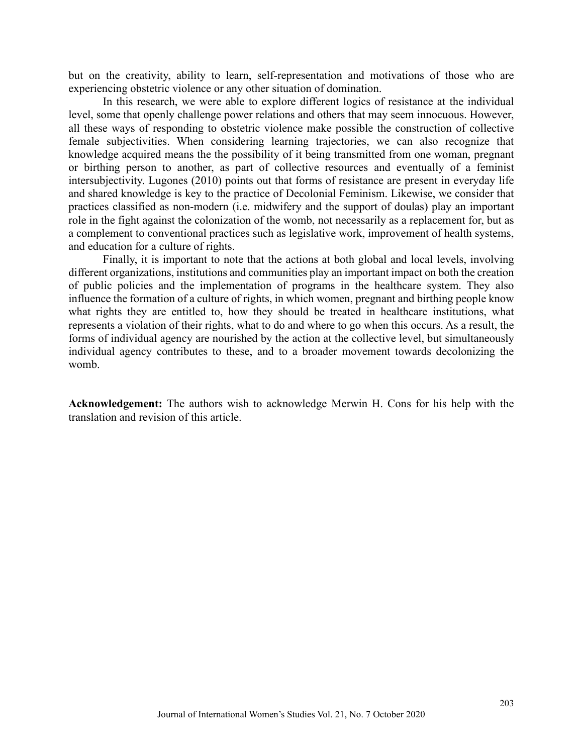but on the creativity, ability to learn, self-representation and motivations of those who are experiencing obstetric violence or any other situation of domination.

In this research, we were able to explore different logics of resistance at the individual level, some that openly challenge power relations and others that may seem innocuous. However, all these ways of responding to obstetric violence make possible the construction of collective female subjectivities. When considering learning trajectories, we can also recognize that knowledge acquired means the the possibility of it being transmitted from one woman, pregnant or birthing person to another, as part of collective resources and eventually of a feminist intersubjectivity. Lugones (2010) points out that forms of resistance are present in everyday life and shared knowledge is key to the practice of Decolonial Feminism. Likewise, we consider that practices classified as non-modern (i.e. midwifery and the support of doulas) play an important role in the fight against the colonization of the womb, not necessarily as a replacement for, but as a complement to conventional practices such as legislative work, improvement of health systems, and education for a culture of rights.

Finally, it is important to note that the actions at both global and local levels, involving different organizations, institutions and communities play an important impact on both the creation of public policies and the implementation of programs in the healthcare system. They also influence the formation of a culture of rights, in which women, pregnant and birthing people know what rights they are entitled to, how they should be treated in healthcare institutions, what represents a violation of their rights, what to do and where to go when this occurs. As a result, the forms of individual agency are nourished by the action at the collective level, but simultaneously individual agency contributes to these, and to a broader movement towards decolonizing the womb.

**Acknowledgement:** The authors wish to acknowledge Merwin H. Cons for his help with the translation and revision of this article.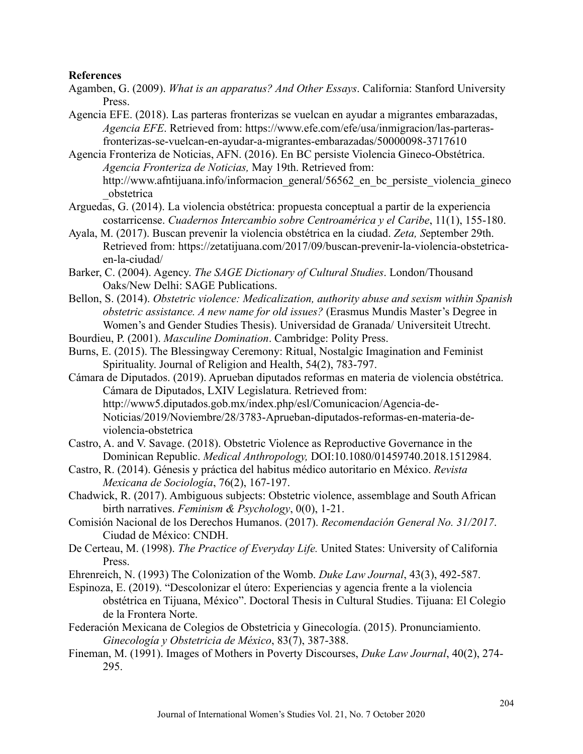#### **References**

- Agamben, G. (2009). *What is an apparatus? And Other Essays*. California: Stanford University Press.
- Agencia EFE. (2018). Las parteras fronterizas se vuelcan en ayudar a migrantes embarazadas, *Agencia EFE*. Retrieved from: https://www.efe.com/efe/usa/inmigracion/las-parterasfronterizas-se-vuelcan-en-ayudar-a-migrantes-embarazadas/50000098-3717610
- Agencia Fronteriza de Noticias, AFN. (2016). En BC persiste Violencia Gineco-Obstétrica. *Agencia Fronteriza de Noticias,* May 19th. Retrieved from: http://www.afntijuana.info/informacion general/56562 en bc persiste violencia gineco \_obstetrica
- Arguedas, G. (2014). La violencia obstétrica: propuesta conceptual a partir de la experiencia costarricense. *Cuadernos Intercambio sobre Centroamérica y el Caribe*, 11(1), 155-180.
- Ayala, M. (2017). Buscan prevenir la violencia obstétrica en la ciudad. *Zeta, S*eptember 29th. Retrieved from: https://zetatijuana.com/2017/09/buscan-prevenir-la-violencia-obstetricaen-la-ciudad/
- Barker, C. (2004). Agency. *The SAGE Dictionary of Cultural Studies*. London/Thousand Oaks/New Delhi: SAGE Publications.
- Bellon, S. (2014). *Obstetric violence: Medicalization, authority abuse and sexism within Spanish obstetric assistance. A new name for old issues?* (Erasmus Mundis Master's Degree in Women's and Gender Studies Thesis). Universidad de Granada/ Universiteit Utrecht.
- Bourdieu, P. (2001). *Masculine Domination*. Cambridge: Polity Press.
- Burns, E. (2015). The Blessingway Ceremony: Ritual, Nostalgic Imagination and Feminist Spirituality. Journal of Religion and Health, 54(2), 783-797.
- Cámara de Diputados. (2019). Aprueban diputados reformas en materia de violencia obstétrica. Cámara de Diputados, LXIV Legislatura. Retrieved from: http://www5.diputados.gob.mx/index.php/esl/Comunicacion/Agencia-de-Noticias/2019/Noviembre/28/3783-Aprueban-diputados-reformas-en-materia-deviolencia-obstetrica
- Castro, A. and V. Savage. (2018). Obstetric Violence as Reproductive Governance in the Dominican Republic. *Medical Anthropology,* DOI:10.1080/01459740.2018.1512984.
- Castro, R. (2014). Génesis y práctica del habitus médico autoritario en México. *Revista Mexicana de Sociología*, 76(2), 167-197.
- Chadwick, R. (2017). Ambiguous subjects: Obstetric violence, assemblage and South African birth narratives. *Feminism & Psychology*, 0(0), 1-21.
- Comisión Nacional de los Derechos Humanos. (2017). *Recomendación General No. 31/2017*. Ciudad de México: CNDH.
- De Certeau, M. (1998). *The Practice of Everyday Life.* United States: University of California Press.
- Ehrenreich, N. (1993) The Colonization of the Womb. *Duke Law Journal*, 43(3), 492-587.
- Espinoza, E. (2019). "Descolonizar el útero: Experiencias y agencia frente a la violencia obstétrica en Tijuana, México". Doctoral Thesis in Cultural Studies. Tijuana: El Colegio de la Frontera Norte.
- Federación Mexicana de Colegios de Obstetricia y Ginecología. (2015). Pronunciamiento. *Ginecología y Obstetricia de México*, 83(7), 387-388.
- Fineman, M. (1991). Images of Mothers in Poverty Discourses, *Duke Law Journal*, 40(2), 274- 295.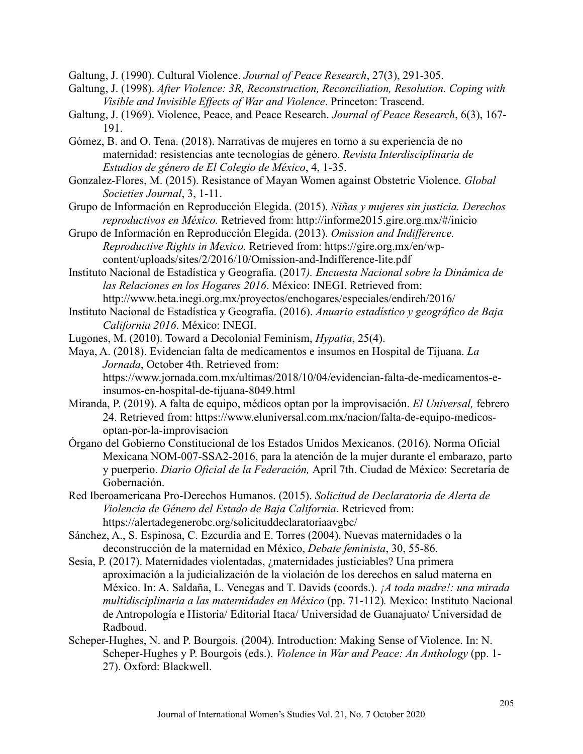Galtung, J. (1990). Cultural Violence. *Journal of Peace Research*, 27(3), 291-305.

- Galtung, J. (1998). *After Violence: 3R, Reconstruction, Reconciliation, Resolution. Coping with Visible and Invisible Effects of War and Violence*. Princeton: Trascend.
- Galtung, J. (1969). Violence, Peace, and Peace Research. *Journal of Peace Research*, 6(3), 167- 191.
- Gómez, B. and O. Tena. (2018). Narrativas de mujeres en torno a su experiencia de no maternidad: resistencias ante tecnologías de género. *Revista Interdisciplinaria de Estudios de género de El Colegio de México*, 4, 1-35.
- Gonzalez-Flores, M. (2015). Resistance of Mayan Women against Obstetric Violence. *Global Societies Journal*, 3, 1-11.
- Grupo de Información en Reproducción Elegida. (2015). *Niñas y mujeres sin justicia. Derechos reproductivos en México.* Retrieved from: http://informe2015.gire.org.mx/#/inicio
- Grupo de Información en Reproducción Elegida. (2013). *Omission and Indifference. Reproductive Rights in Mexico.* Retrieved from: https://gire.org.mx/en/wpcontent/uploads/sites/2/2016/10/Omission-and-Indifference-lite.pdf
- Instituto Nacional de Estadística y Geografía. (2017*). Encuesta Nacional sobre la Dinámica de las Relaciones en los Hogares 2016*. México: INEGI. Retrieved from: http://www.beta.inegi.org.mx/proyectos/enchogares/especiales/endireh/2016/
- Instituto Nacional de Estadística y Geografía. (2016). *Anuario estadístico y geográfico de Baja California 2016*. México: INEGI.
- Lugones, M. (2010). Toward a Decolonial Feminism, *Hypatia*, 25(4).
- Maya, A. (2018). Evidencian falta de medicamentos e insumos en Hospital de Tijuana. *La Jornada*, October 4th. Retrieved from: https://www.jornada.com.mx/ultimas/2018/10/04/evidencian-falta-de-medicamentos-einsumos-en-hospital-de-tijuana-8049.html
- Miranda, P. (2019). A falta de equipo, médicos optan por la improvisación. *El Universal,* febrero 24. Retrieved from: https://www.eluniversal.com.mx/nacion/falta-de-equipo-medicosoptan-por-la-improvisacion
- Órgano del Gobierno Constitucional de los Estados Unidos Mexicanos. (2016). Norma Oficial Mexicana NOM-007-SSA2-2016, para la atención de la mujer durante el embarazo, parto y puerperio. *Diario Oficial de la Federación,* April 7th. Ciudad de México: Secretaría de Gobernación.
- Red Iberoamericana Pro-Derechos Humanos. (2015). *Solicitud de Declaratoria de Alerta de Violencia de Género del Estado de Baja California*. Retrieved from: https://alertadegenerobc.org/solicituddeclaratoriaavgbc/
- Sánchez, A., S. Espinosa, C. Ezcurdia and E. Torres (2004). Nuevas maternidades o la deconstrucción de la maternidad en México, *Debate feminista*, 30, 55-86.
- Sesia, P. (2017). Maternidades violentadas, ¿maternidades justiciables? Una primera aproximación a la judicialización de la violación de los derechos en salud materna en México. In: A. Saldaña, L. Venegas and T. Davids (coords.). *¡A toda madre!: una mirada multidisciplinaria a las maternidades en México* (pp. 71-112)*.* Mexico: Instituto Nacional de Antropología e Historia/ Editorial Itaca/ Universidad de Guanajuato/ Universidad de Radboud.
- Scheper-Hughes, N. and P. Bourgois. (2004). Introduction: Making Sense of Violence. In: N. Scheper-Hughes y P. Bourgois (eds.). *Violence in War and Peace: An Anthology* (pp. 1- 27). Oxford: Blackwell.